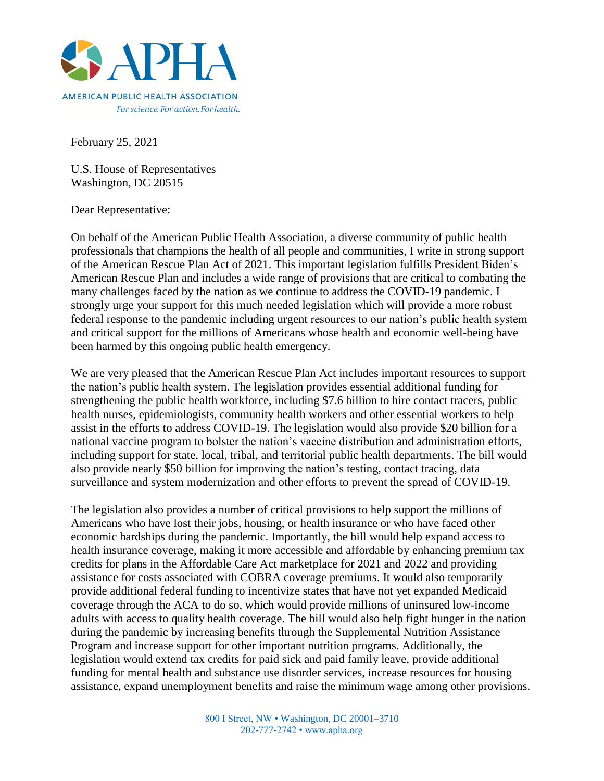

February 25, 2021

U.S. House of Representatives Washington, DC 20515

Dear Representative:

On behalf of the American Public Health Association, a diverse community of public health professionals that champions the health of all people and communities, I write in strong support of the American Rescue Plan Act of 2021. This important legislation fulfills President Biden's American Rescue Plan and includes a wide range of provisions that are critical to combating the many challenges faced by the nation as we continue to address the COVID-19 pandemic. I strongly urge your support for this much needed legislation which will provide a more robust federal response to the pandemic including urgent resources to our nation's public health system and critical support for the millions of Americans whose health and economic well-being have been harmed by this ongoing public health emergency.

We are very pleased that the American Rescue Plan Act includes important resources to support the nation's public health system. The legislation provides essential additional funding for strengthening the public health workforce, including \$7.6 billion to hire contact tracers, public health nurses, epidemiologists, community health workers and other essential workers to help assist in the efforts to address COVID-19. The legislation would also provide \$20 billion for a national vaccine program to bolster the nation's vaccine distribution and administration efforts, including support for state, local, tribal, and territorial public health departments. The bill would also provide nearly \$50 billion for improving the nation's testing, contact tracing, data surveillance and system modernization and other efforts to prevent the spread of COVID-19.

The legislation also provides a number of critical provisions to help support the millions of Americans who have lost their jobs, housing, or health insurance or who have faced other economic hardships during the pandemic. Importantly, the bill would help expand access to health insurance coverage, making it more accessible and affordable by enhancing premium tax credits for plans in the Affordable Care Act marketplace for 2021 and 2022 and providing assistance for costs associated with COBRA coverage premiums. It would also temporarily provide additional federal funding to incentivize states that have not yet expanded Medicaid coverage through the ACA to do so, which would provide millions of uninsured low-income adults with access to quality health coverage. The bill would also help fight hunger in the nation during the pandemic by increasing benefits through the Supplemental Nutrition Assistance Program and increase support for other important nutrition programs. Additionally, the legislation would extend tax credits for paid sick and paid family leave, provide additional funding for mental health and substance use disorder services, increase resources for housing assistance, expand unemployment benefits and raise the minimum wage among other provisions.